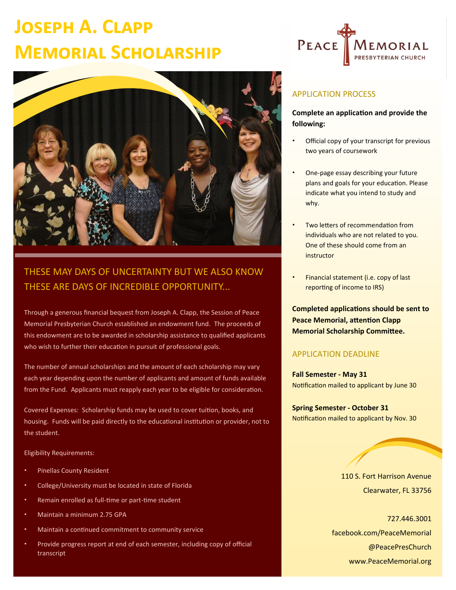# **Joseph A. Clapp Memorial Scholarship**



### THESE MAY DAYS OF UNCERTAINTY BUT WE ALSO KNOW THESE ARE DAYS OF INCREDIBLE OPPORTUNITY...

Through a generous financial bequest from Joseph A. Clapp, the Session of Peace Memorial Presbyterian Church established an endowment fund. The proceeds of this endowment are to be awarded in scholarship assistance to qualified applicants who wish to further their education in pursuit of professional goals.

The number of annual scholarships and the amount of each scholarship may vary each year depending upon the number of applicants and amount of funds available from the Fund. Applicants must reapply each year to be eligible for consideration.

Covered Expenses: Scholarship funds may be used to cover tuition, books, and housing. Funds will be paid directly to the educational institution or provider, not to the student.

Eligibility Requirements:

- Pinellas County Resident
- College/University must be located in state of Florida
- Remain enrolled as full-time or part-time student
- Maintain a minimum 2.75 GPA
- Maintain a continued commitment to community service
- Provide progress report at end of each semester, including copy of official transcript



### APPLICATION PROCESS

#### **Complete an application and provide the following:**

- Official copy of your transcript for previous two years of coursework
- One-page essay describing your future plans and goals for your education. Please indicate what you intend to study and why.
- Two letters of recommendation from individuals who are not related to you. One of these should come from an instructor
- Financial statement (i.e. copy of last reporting of income to IRS)

**Completed applications should be sent to Peace Memorial, attention Clapp Memorial Scholarship Committee.**

#### APPLICATION DEADLINE

**Fall Semester - May 31** Notification mailed to applicant by June 30

**Spring Semester - October 31** Notification mailed to applicant by Nov. 30

> 110 S. Fort Harrison Avenue Clearwater, FL 33756

727.446.3001 facebook.com/PeaceMemorial @PeacePresChurch www.PeaceMemorial.org